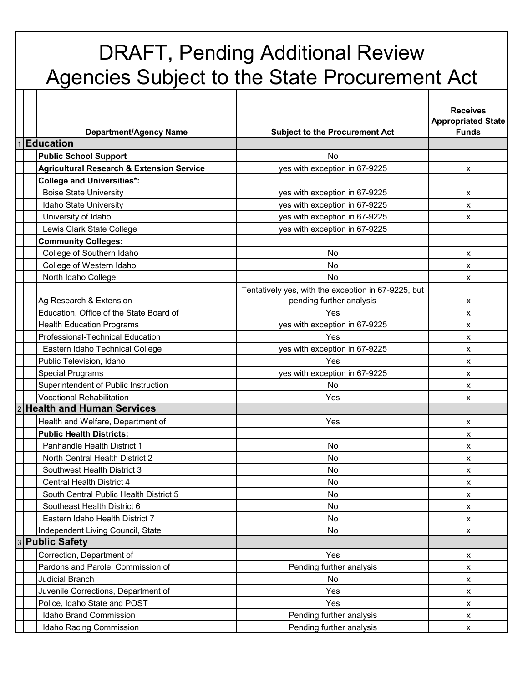## DRAFT, Pending Additional Review Agencies Subject to the State Procurement Act

|                |                                                      |                                                                                 | <b>Receives</b><br><b>Appropriated State</b><br><b>Funds</b> |
|----------------|------------------------------------------------------|---------------------------------------------------------------------------------|--------------------------------------------------------------|
| $\overline{1}$ | <b>Department/Agency Name</b><br><b>Education</b>    | <b>Subject to the Procurement Act</b>                                           |                                                              |
|                | <b>Public School Support</b>                         | <b>No</b>                                                                       |                                                              |
|                | <b>Agricultural Research &amp; Extension Service</b> | yes with exception in 67-9225                                                   | X                                                            |
|                | <b>College and Universities*:</b>                    |                                                                                 |                                                              |
|                | <b>Boise State University</b>                        | yes with exception in 67-9225                                                   | x                                                            |
|                | Idaho State University                               | yes with exception in 67-9225                                                   | X                                                            |
|                | University of Idaho                                  | yes with exception in 67-9225                                                   | $\pmb{\times}$                                               |
|                | Lewis Clark State College                            | yes with exception in 67-9225                                                   |                                                              |
|                | <b>Community Colleges:</b>                           |                                                                                 |                                                              |
|                | College of Southern Idaho                            | <b>No</b>                                                                       | $\pmb{\chi}$                                                 |
|                | College of Western Idaho                             | No                                                                              | x                                                            |
|                | North Idaho College                                  | No                                                                              | X                                                            |
|                | Ag Research & Extension                              | Tentatively yes, with the exception in 67-9225, but<br>pending further analysis | х                                                            |
|                | Education, Office of the State Board of              | Yes                                                                             | $\mathsf{x}$                                                 |
|                | <b>Health Education Programs</b>                     | yes with exception in 67-9225                                                   | X                                                            |
|                | Professional-Technical Education                     | Yes                                                                             | X                                                            |
|                | Eastern Idaho Technical College                      | yes with exception in 67-9225                                                   | X                                                            |
|                | Public Television, Idaho                             | Yes                                                                             | x                                                            |
|                | <b>Special Programs</b>                              | yes with exception in 67-9225                                                   | X                                                            |
|                | Superintendent of Public Instruction                 | No                                                                              | $\pmb{\mathsf{x}}$                                           |
|                | <b>Vocational Rehabilitation</b>                     | Yes                                                                             | X                                                            |
| $\overline{2}$ | <b>Health and Human Services</b>                     |                                                                                 |                                                              |
|                | Health and Welfare, Department of                    | Yes                                                                             | X                                                            |
|                | <b>Public Health Districts:</b>                      |                                                                                 | x                                                            |
|                | Panhandle Health District 1                          | No                                                                              | x                                                            |
|                | North Central Health District 2                      | No                                                                              | X                                                            |
|                | Southwest Health District 3                          | No                                                                              | X                                                            |
|                | Central Health District 4                            | No                                                                              | $\pmb{\mathsf{X}}$                                           |
|                | South Central Public Health District 5               | No                                                                              | X                                                            |
|                | Southeast Health District 6                          | No.                                                                             | X                                                            |
|                | Eastern Idaho Health District 7                      | No                                                                              | $\mathsf{x}$                                                 |
|                | Independent Living Council, State                    | No                                                                              | X                                                            |
| $\overline{3}$ | <b>Public Safety</b>                                 |                                                                                 |                                                              |
|                | Correction, Department of                            | Yes                                                                             | X                                                            |
|                | Pardons and Parole, Commission of                    | Pending further analysis                                                        | $\pmb{\mathsf{X}}$                                           |
|                | <b>Judicial Branch</b>                               | No.                                                                             | $\pmb{\mathsf{X}}$                                           |
|                | Juvenile Corrections, Department of                  | Yes                                                                             | X                                                            |
|                | Police, Idaho State and POST                         | Yes                                                                             | X                                                            |
|                | Idaho Brand Commission                               | Pending further analysis                                                        | X                                                            |
|                | Idaho Racing Commission                              | Pending further analysis                                                        | X                                                            |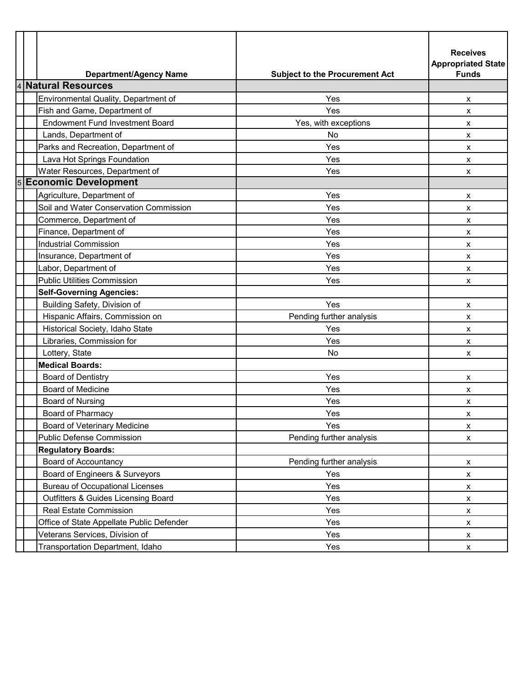|                | <b>Department/Agency Name</b>             | <b>Subject to the Procurement Act</b> | <b>Receives</b><br><b>Appropriated State</b><br><b>Funds</b> |
|----------------|-------------------------------------------|---------------------------------------|--------------------------------------------------------------|
| $\overline{4}$ | <b>Natural Resources</b>                  |                                       |                                                              |
|                | Environmental Quality, Department of      | Yes                                   | X                                                            |
|                | Fish and Game, Department of              | Yes                                   | $\pmb{\mathsf{X}}$                                           |
|                | <b>Endowment Fund Investment Board</b>    | Yes, with exceptions                  | x                                                            |
|                | Lands, Department of                      | No                                    | x                                                            |
|                | Parks and Recreation, Department of       | Yes                                   | $\pmb{\mathsf{X}}$                                           |
|                | Lava Hot Springs Foundation               | Yes                                   | x                                                            |
|                | Water Resources, Department of            | Yes                                   | x                                                            |
|                | 5 Economic Development                    |                                       |                                                              |
|                | Agriculture, Department of                | Yes                                   | x                                                            |
|                | Soil and Water Conservation Commission    | Yes                                   | x                                                            |
|                | Commerce, Department of                   | Yes                                   | X                                                            |
|                | Finance, Department of                    | Yes                                   | x                                                            |
|                | <b>Industrial Commission</b>              | Yes                                   | $\pmb{\chi}$                                                 |
|                | Insurance, Department of                  | Yes                                   | X                                                            |
|                | Labor, Department of                      | Yes                                   | x                                                            |
|                | <b>Public Utilities Commission</b>        | Yes                                   | X                                                            |
|                | <b>Self-Governing Agencies:</b>           |                                       |                                                              |
|                | Building Safety, Division of              | Yes                                   | x                                                            |
|                | Hispanic Affairs, Commission on           | Pending further analysis              | x                                                            |
|                | Historical Society, Idaho State           | Yes                                   | X                                                            |
|                | Libraries, Commission for                 | Yes                                   | x                                                            |
|                | Lottery, State                            | No                                    | X                                                            |
|                | <b>Medical Boards:</b>                    |                                       |                                                              |
|                | <b>Board of Dentistry</b>                 | Yes                                   | X                                                            |
|                | <b>Board of Medicine</b>                  | Yes                                   | x                                                            |
|                | <b>Board of Nursing</b>                   | Yes                                   | x                                                            |
|                | <b>Board of Pharmacy</b>                  | Yes                                   | X                                                            |
|                | Board of Veterinary Medicine              | Yes                                   | X                                                            |
|                | <b>Public Defense Commission</b>          | Pending further analysis              | $\pmb{\mathsf{x}}$                                           |
|                | <b>Regulatory Boards:</b>                 |                                       |                                                              |
|                | <b>Board of Accountancy</b>               | Pending further analysis              | X                                                            |
|                | Board of Engineers & Surveyors            | Yes                                   | $\pmb{\mathsf{X}}$                                           |
|                | <b>Bureau of Occupational Licenses</b>    | Yes                                   | $\pmb{\mathsf{X}}$                                           |
|                | Outfitters & Guides Licensing Board       | Yes                                   | X                                                            |
|                | <b>Real Estate Commission</b>             | Yes                                   | X                                                            |
|                | Office of State Appellate Public Defender | Yes                                   | X                                                            |
|                | Veterans Services, Division of            | Yes                                   | X                                                            |
|                | Transportation Department, Idaho          | Yes                                   | X                                                            |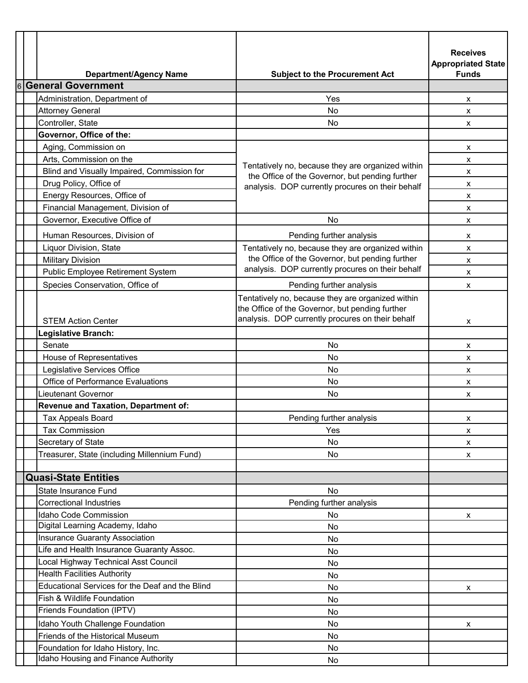|                | <b>Department/Agency Name</b>                   | <b>Subject to the Procurement Act</b>                                                                                                                    | <b>Receives</b><br><b>Appropriated State</b><br><b>Funds</b> |
|----------------|-------------------------------------------------|----------------------------------------------------------------------------------------------------------------------------------------------------------|--------------------------------------------------------------|
| $\overline{6}$ | <b>General Government</b>                       |                                                                                                                                                          |                                                              |
|                | Administration, Department of                   | Yes                                                                                                                                                      | x                                                            |
|                | <b>Attorney General</b>                         | No                                                                                                                                                       | X                                                            |
|                | Controller, State                               | No.                                                                                                                                                      | X                                                            |
|                | Governor, Office of the:                        |                                                                                                                                                          |                                                              |
|                | Aging, Commission on                            |                                                                                                                                                          | x                                                            |
|                | Arts, Commission on the                         |                                                                                                                                                          | X                                                            |
|                | Blind and Visually Impaired, Commission for     | Tentatively no, because they are organized within<br>the Office of the Governor, but pending further                                                     | x                                                            |
|                | Drug Policy, Office of                          | analysis. DOP currently procures on their behalf                                                                                                         | X                                                            |
|                | Energy Resources, Office of                     |                                                                                                                                                          | x                                                            |
|                | Financial Management, Division of               |                                                                                                                                                          | x                                                            |
|                | Governor, Executive Office of                   | No.                                                                                                                                                      | x                                                            |
|                | Human Resources, Division of                    |                                                                                                                                                          |                                                              |
|                |                                                 | Pending further analysis                                                                                                                                 | х                                                            |
|                | Liquor Division, State                          | Tentatively no, because they are organized within<br>the Office of the Governor, but pending further                                                     | x                                                            |
|                | <b>Military Division</b>                        | analysis. DOP currently procures on their behalf                                                                                                         | X                                                            |
|                | Public Employee Retirement System               |                                                                                                                                                          | x                                                            |
|                | Species Conservation, Office of                 | Pending further analysis                                                                                                                                 | x                                                            |
|                | <b>STEM Action Center</b>                       | Tentatively no, because they are organized within<br>the Office of the Governor, but pending further<br>analysis. DOP currently procures on their behalf | x                                                            |
|                | Legislative Branch:                             |                                                                                                                                                          |                                                              |
|                | Senate                                          | No                                                                                                                                                       | х                                                            |
|                | House of Representatives                        | No                                                                                                                                                       | x                                                            |
|                | Legislative Services Office                     | No.                                                                                                                                                      | X                                                            |
|                | <b>Office of Performance Evaluations</b>        | No                                                                                                                                                       | x                                                            |
|                | <b>Lieutenant Governor</b>                      | No.                                                                                                                                                      | x                                                            |
|                | Revenue and Taxation, Department of:            |                                                                                                                                                          |                                                              |
|                | Tax Appeals Board                               | Pending further analysis                                                                                                                                 | x                                                            |
|                | <b>Tax Commission</b>                           | Yes                                                                                                                                                      | x                                                            |
|                | Secretary of State                              | No                                                                                                                                                       | x                                                            |
|                | Treasurer, State (including Millennium Fund)    | No                                                                                                                                                       | X                                                            |
|                |                                                 |                                                                                                                                                          |                                                              |
|                | <b>Quasi-State Entities</b>                     |                                                                                                                                                          |                                                              |
|                | <b>State Insurance Fund</b>                     | No                                                                                                                                                       |                                                              |
|                | <b>Correctional Industries</b>                  | Pending further analysis                                                                                                                                 |                                                              |
|                | <b>Idaho Code Commission</b>                    | No.                                                                                                                                                      | x                                                            |
|                | Digital Learning Academy, Idaho                 | No                                                                                                                                                       |                                                              |
|                | <b>Insurance Guaranty Association</b>           | No                                                                                                                                                       |                                                              |
|                | Life and Health Insurance Guaranty Assoc.       | No                                                                                                                                                       |                                                              |
|                | Local Highway Technical Asst Council            | No                                                                                                                                                       |                                                              |
|                | <b>Health Facilities Authority</b>              | No                                                                                                                                                       |                                                              |
|                | Educational Services for the Deaf and the Blind | No                                                                                                                                                       | x                                                            |
|                | Fish & Wildlife Foundation                      | No                                                                                                                                                       |                                                              |
|                | Friends Foundation (IPTV)                       | No                                                                                                                                                       |                                                              |
|                | Idaho Youth Challenge Foundation                | No                                                                                                                                                       | x                                                            |
|                | Friends of the Historical Museum                | No                                                                                                                                                       |                                                              |
|                | Foundation for Idaho History, Inc.              | No                                                                                                                                                       |                                                              |
|                | Idaho Housing and Finance Authority             | No                                                                                                                                                       |                                                              |